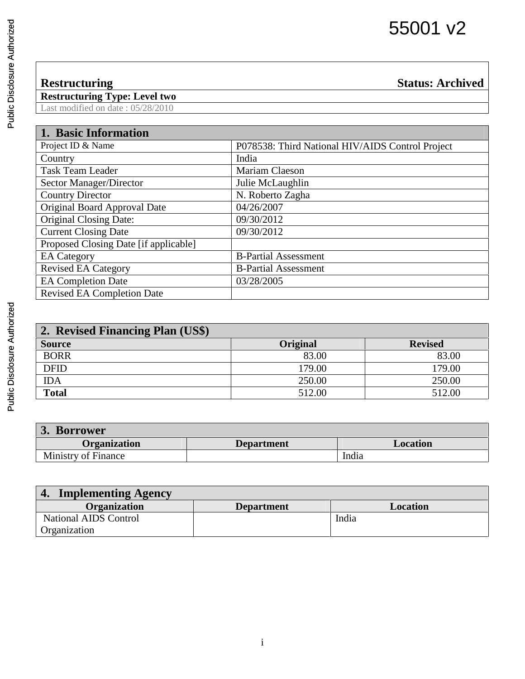## **Restructuring Status: Archived**

**Restructuring Type: Level two**  Last modified on date : 05/28/2010

## **1. Basic Information**

| н разк настанском                     |                                                  |
|---------------------------------------|--------------------------------------------------|
| Project ID & Name                     | P078538: Third National HIV/AIDS Control Project |
| Country                               | India                                            |
| <b>Task Team Leader</b>               | Mariam Claeson                                   |
| Sector Manager/Director               | Julie McLaughlin                                 |
| <b>Country Director</b>               | N. Roberto Zagha                                 |
| Original Board Approval Date          | 04/26/2007                                       |
| <b>Original Closing Date:</b>         | 09/30/2012                                       |
| <b>Current Closing Date</b>           | 09/30/2012                                       |
| Proposed Closing Date [if applicable] |                                                  |
| <b>EA</b> Category                    | <b>B-Partial Assessment</b>                      |
| <b>Revised EA Category</b>            | <b>B-Partial Assessment</b>                      |
| <b>EA Completion Date</b>             | 03/28/2005                                       |
| <b>Revised EA Completion Date</b>     |                                                  |

| 2. Revised Financing Plan (US\$) |                 |                |
|----------------------------------|-----------------|----------------|
| <b>Source</b>                    | <b>Original</b> | <b>Revised</b> |
| <b>BORR</b>                      | 83.00           | 83.00          |
| DFID                             | 179.00          | 179.00         |
| IDA                              | 250.00          | 250.00         |
| <b>Total</b>                     | 512.00          | 512.00         |

| 3. Borrower         |                   |          |
|---------------------|-------------------|----------|
| Organization        | <b>Department</b> | Location |
| Ministry of Finance |                   | India    |

| <b>Implementing Agency</b> |                   |          |
|----------------------------|-------------------|----------|
| <b>Organization</b>        | <b>Department</b> | Location |
| National AIDS Control      |                   | India    |
| Organization               |                   |          |